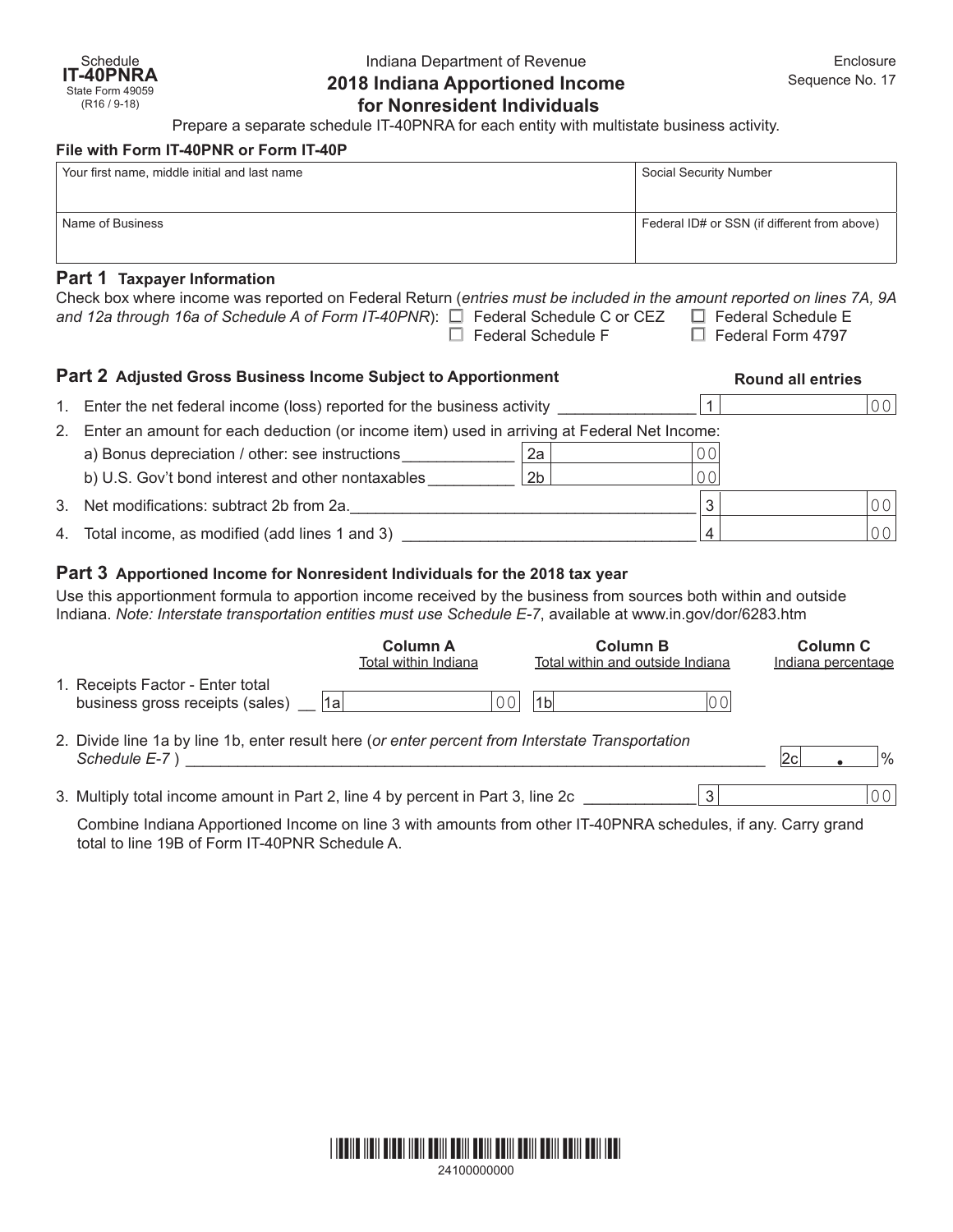# Indiana Department of Revenue **2018 Indiana Apportioned Income for Nonresident Individuals**

Prepare a separate schedule IT-40PNRA for each entity with multistate business activity.

#### **File with Form IT-40PNR or Form IT-40P**

| Your first name, middle initial and last name | Social Security Number                       |  |  |  |  |
|-----------------------------------------------|----------------------------------------------|--|--|--|--|
|                                               |                                              |  |  |  |  |
| Name of Business                              | Federal ID# or SSN (if different from above) |  |  |  |  |
| Part 1 Taxpayer Information                   |                                              |  |  |  |  |

| Check box where income was reported on Federal Return (entries must be included in the amount reported on lines 7A, 9A |                           |                          |
|------------------------------------------------------------------------------------------------------------------------|---------------------------|--------------------------|
| and 12a through 16a of Schedule A of Form IT-40PNR): $\square$ Federal Schedule C or CEZ $\square$ Federal Schedule E  |                           |                          |
|                                                                                                                        | $\Box$ Federal Schedule F | $\Box$ Federal Form 4797 |
|                                                                                                                        |                           |                          |

| Part 2 Adjusted Gross Business Income Subject to Apportionment |                                                                                             |                | <b>Round all entries</b> |                |                |  |
|----------------------------------------------------------------|---------------------------------------------------------------------------------------------|----------------|--------------------------|----------------|----------------|--|
| $1_{1}$                                                        | Enter the net federal income (loss) reported for the business activity                      |                |                          |                | 00             |  |
| 2.                                                             | Enter an amount for each deduction (or income item) used in arriving at Federal Net Income: |                |                          |                |                |  |
|                                                                | a) Bonus depreciation / other: see instructions                                             | 2a             |                          | 00             |                |  |
|                                                                | b) U.S. Gov't bond interest and other nontaxables                                           | 2 <sub>b</sub> |                          | 0 <sup>0</sup> |                |  |
|                                                                | 3. Net modifications: subtract 2b from 2a.                                                  |                |                          | 3              | 0 <sup>0</sup> |  |
|                                                                | 4. Total income, as modified (add lines 1 and 3)                                            |                |                          |                | 00             |  |

### **Part 3 Apportioned Income for Nonresident Individuals for the 2018 tax year**

Use this apportionment formula to apportion income received by the business from sources both within and outside Indiana. *Note: Interstate transportation entities must use Schedule E-7*, available at [www.in.gov/dor/6283.htm](http://www.in.gov/dor/4570.htm)

|                                                                                                                   | <b>Column A</b><br>Total within Indiana | <b>Column B</b><br>Total within and outside Indiana |    | Column C<br>Indiana percentage |               |
|-------------------------------------------------------------------------------------------------------------------|-----------------------------------------|-----------------------------------------------------|----|--------------------------------|---------------|
| 1. Receipts Factor - Enter total<br>∣1a<br>business gross receipts (sales)                                        | 0 <sub>0</sub>                          | 1 <sub>b</sub>                                      | 00 |                                |               |
| 2. Divide line 1a by line 1b, enter result here (or enter percent from Interstate Transportation<br>Schedule E-7) |                                         |                                                     |    |                                | $\frac{9}{6}$ |
| 3. Multiply total income amount in Part 2, line 4 by percent in Part 3, line 2c                                   |                                         |                                                     | ર  |                                | 00            |

Combine Indiana Apportioned Income on line 3 with amounts from other IT-40PNRA schedules, if any. Carry grand total to line 19B of Form IT-40PNR Schedule A.



24100000000